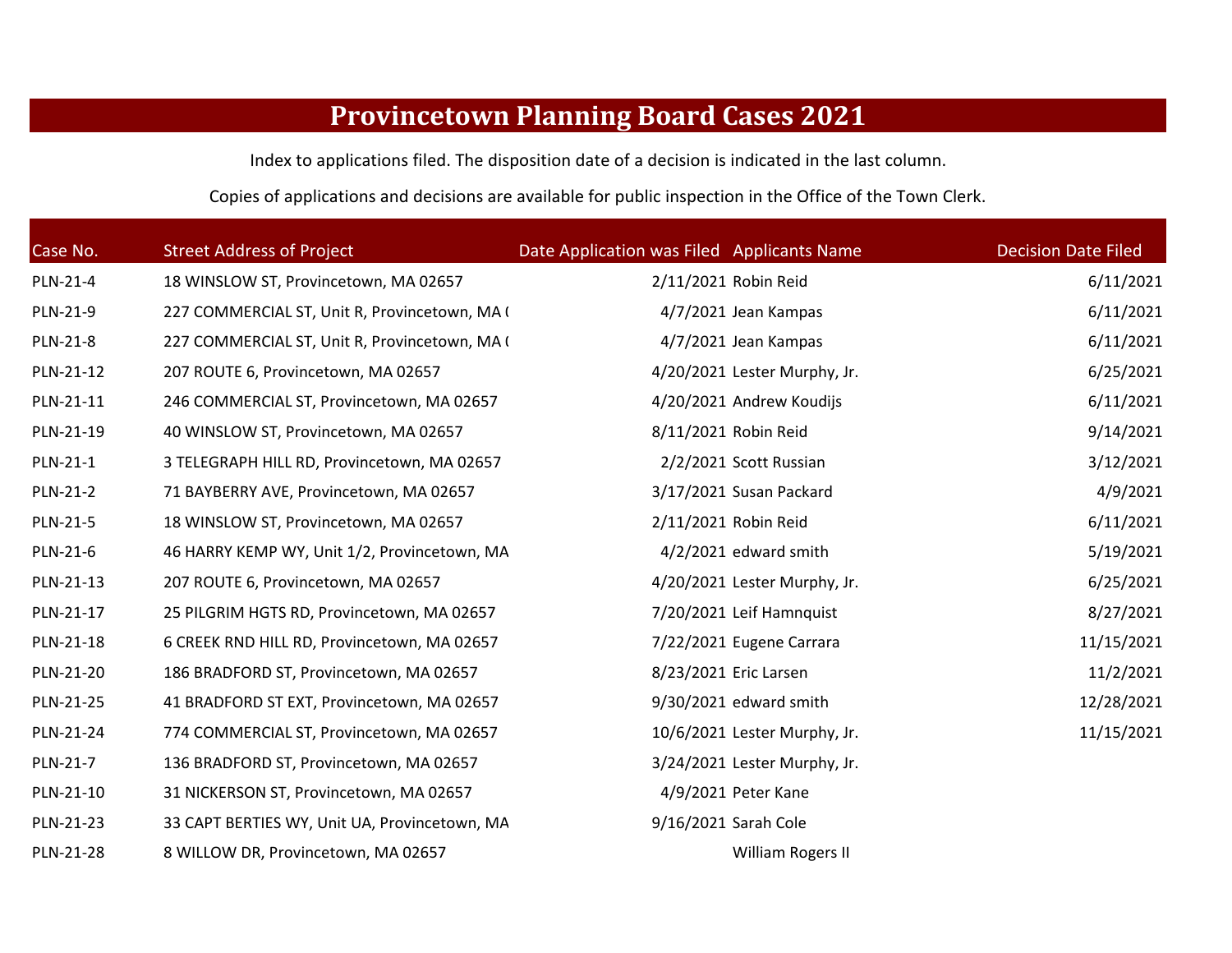## **Provincetown Planning Board Cases 2021**

Index to applications filed. The disposition date of <sup>a</sup> decision is indicated in the last column.

Copies of applications and decisions are available for public inspection in the Office of the Town Clerk.

| Case No.  | <b>Street Address of Project</b>              | Date Application was Filed Applicants Name |                                | <b>Decision Date Filed</b> |
|-----------|-----------------------------------------------|--------------------------------------------|--------------------------------|----------------------------|
| PLN-21-4  | 18 WINSLOW ST, Provincetown, MA 02657         |                                            | 2/11/2021 Robin Reid           | 6/11/2021                  |
| PLN-21-9  | 227 COMMERCIAL ST, Unit R, Provincetown, MA ( |                                            | 4/7/2021 Jean Kampas           | 6/11/2021                  |
| PLN-21-8  | 227 COMMERCIAL ST, Unit R, Provincetown, MA ( |                                            | 4/7/2021 Jean Kampas           | 6/11/2021                  |
| PLN-21-12 | 207 ROUTE 6, Provincetown, MA 02657           |                                            | 4/20/2021 Lester Murphy, Jr.   | 6/25/2021                  |
| PLN-21-11 | 246 COMMERCIAL ST, Provincetown, MA 02657     |                                            | 4/20/2021 Andrew Koudijs       | 6/11/2021                  |
| PLN-21-19 | 40 WINSLOW ST, Provincetown, MA 02657         |                                            | 8/11/2021 Robin Reid           | 9/14/2021                  |
| PLN-21-1  | 3 TELEGRAPH HILL RD, Provincetown, MA 02657   |                                            | 2/2/2021 Scott Russian         | 3/12/2021                  |
| PLN-21-2  | 71 BAYBERRY AVE, Provincetown, MA 02657       |                                            | 3/17/2021 Susan Packard        | 4/9/2021                   |
| PLN-21-5  | 18 WINSLOW ST, Provincetown, MA 02657         |                                            | 2/11/2021 Robin Reid           | 6/11/2021                  |
| PLN-21-6  | 46 HARRY KEMP WY, Unit 1/2, Provincetown, MA  |                                            | $4/2/2021$ edward smith        | 5/19/2021                  |
| PLN-21-13 | 207 ROUTE 6, Provincetown, MA 02657           |                                            | 4/20/2021 Lester Murphy, Jr.   | 6/25/2021                  |
| PLN-21-17 | 25 PILGRIM HGTS RD, Provincetown, MA 02657    |                                            | 7/20/2021 Leif Hamnquist       | 8/27/2021                  |
| PLN-21-18 | 6 CREEK RND HILL RD, Provincetown, MA 02657   |                                            | 7/22/2021 Eugene Carrara       | 11/15/2021                 |
| PLN-21-20 | 186 BRADFORD ST, Provincetown, MA 02657       |                                            | 8/23/2021 Eric Larsen          | 11/2/2021                  |
| PLN-21-25 | 41 BRADFORD ST EXT, Provincetown, MA 02657    |                                            | 9/30/2021 edward smith         | 12/28/2021                 |
| PLN-21-24 | 774 COMMERCIAL ST, Provincetown, MA 02657     |                                            | 10/6/2021 Lester Murphy, Jr.   | 11/15/2021                 |
| PLN-21-7  | 136 BRADFORD ST, Provincetown, MA 02657       |                                            | $3/24/2021$ Lester Murphy, Jr. |                            |
| PLN-21-10 | 31 NICKERSON ST, Provincetown, MA 02657       |                                            | 4/9/2021 Peter Kane            |                            |
| PLN-21-23 | 33 CAPT BERTIES WY, Unit UA, Provincetown, MA |                                            | 9/16/2021 Sarah Cole           |                            |
| PLN-21-28 | 8 WILLOW DR, Provincetown, MA 02657           |                                            | William Rogers II              |                            |